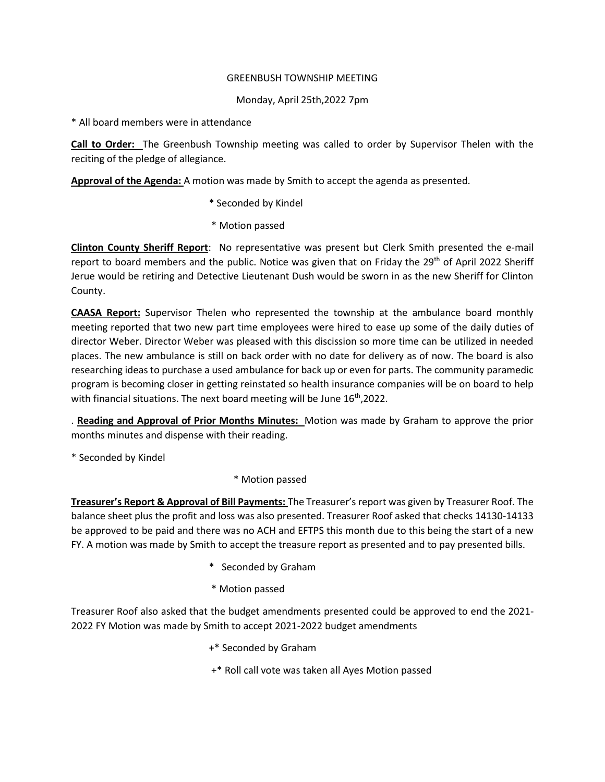## GREENBUSH TOWNSHIP MEETING

## Monday, April 25th,2022 7pm

\* All board members were in attendance

**Call to Order:** The Greenbush Township meeting was called to order by Supervisor Thelen with the reciting of the pledge of allegiance.

**Approval of the Agenda:** A motion was made by Smith to accept the agenda as presented.

- \* Seconded by Kindel
- \* Motion passed

**Clinton County Sheriff Report**: No representative was present but Clerk Smith presented the e-mail report to board members and the public. Notice was given that on Friday the 29<sup>th</sup> of April 2022 Sheriff Jerue would be retiring and Detective Lieutenant Dush would be sworn in as the new Sheriff for Clinton County.

**CAASA Report:** Supervisor Thelen who represented the township at the ambulance board monthly meeting reported that two new part time employees were hired to ease up some of the daily duties of director Weber. Director Weber was pleased with this discission so more time can be utilized in needed places. The new ambulance is still on back order with no date for delivery as of now. The board is also researching ideas to purchase a used ambulance for back up or even for parts. The community paramedic program is becoming closer in getting reinstated so health insurance companies will be on board to help with financial situations. The next board meeting will be June 16<sup>th</sup>,2022.

. **Reading and Approval of Prior Months Minutes:** Motion was made by Graham to approve the prior months minutes and dispense with their reading.

\* Seconded by Kindel

\* Motion passed

**Treasurer's Report & Approval of Bill Payments:** The Treasurer's report was given by Treasurer Roof. The balance sheet plus the profit and loss was also presented. Treasurer Roof asked that checks 14130-14133 be approved to be paid and there was no ACH and EFTPS this month due to this being the start of a new FY. A motion was made by Smith to accept the treasure report as presented and to pay presented bills.

- \* Seconded by Graham
- \* Motion passed

Treasurer Roof also asked that the budget amendments presented could be approved to end the 2021- 2022 FY Motion was made by Smith to accept 2021-2022 budget amendments

- +\* Seconded by Graham
- +\* Roll call vote was taken all Ayes Motion passed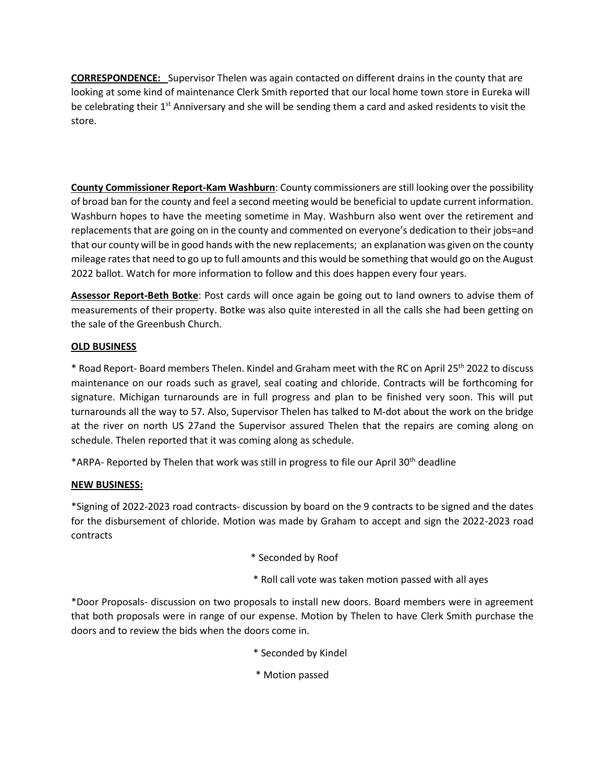**CORRESPONDENCE:** Supervisor Thelen was again contacted on different drains in the county that are looking at some kind of maintenance Clerk Smith reported that our local home town store in Eureka will be celebrating their 1<sup>st</sup> Anniversary and she will be sending them a card and asked residents to visit the store.

**County Commissioner Report-Kam Washburn**: County commissioners are still looking over the possibility of broad ban for the county and feel a second meeting would be beneficial to update current information. Washburn hopes to have the meeting sometime in May. Washburn also went over the retirement and replacements that are going on in the county and commented on everyone's dedication to their jobs=and that our county will be in good hands with the new replacements; an explanation was given on the county mileage rates that need to go up to full amounts and this would be something that would go on the August 2022 ballot. Watch for more information to follow and this does happen every four years.

**Assessor Report-Beth Botke**: Post cards will once again be going out to land owners to advise them of measurements of their property. Botke was also quite interested in all the calls she had been getting on the sale of the Greenbush Church.

## **OLD BUSINESS**

\* Road Report- Board members Thelen. Kindel and Graham meet with the RC on April 25th 2022 to discuss maintenance on our roads such as gravel, seal coating and chloride. Contracts will be forthcoming for signature. Michigan turnarounds are in full progress and plan to be finished very soon. This will put turnarounds all the way to 57. Also, Supervisor Thelen has talked to M-dot about the work on the bridge at the river on north US 27and the Supervisor assured Thelen that the repairs are coming along on schedule. Thelen reported that it was coming along as schedule.

\*ARPA- Reported by Thelen that work was still in progress to file our April 30th deadline

## **NEW BUSINESS:**

\*Signing of 2022-2023 road contracts- discussion by board on the 9 contracts to be signed and the dates for the disbursement of chloride. Motion was made by Graham to accept and sign the 2022-2023 road contracts

- \* Seconded by Roof
- \* Roll call vote was taken motion passed with all ayes

\*Door Proposals- discussion on two proposals to install new doors. Board members were in agreement that both proposals were in range of our expense. Motion by Thelen to have Clerk Smith purchase the doors and to review the bids when the doors come in.

- \* Seconded by Kindel
- \* Motion passed